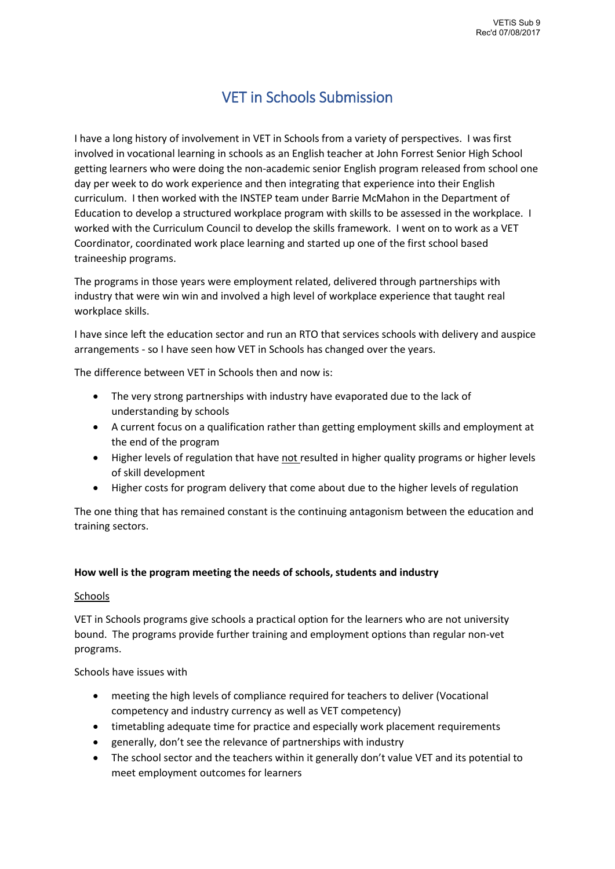# VET in Schools Submission

I have a long history of involvement in VET in Schools from a variety of perspectives. I was first involved in vocational learning in schools as an English teacher at John Forrest Senior High School getting learners who were doing the non-academic senior English program released from school one day per week to do work experience and then integrating that experience into their English curriculum. I then worked with the INSTEP team under Barrie McMahon in the Department of Education to develop a structured workplace program with skills to be assessed in the workplace. I worked with the Curriculum Council to develop the skills framework. I went on to work as a VET Coordinator, coordinated work place learning and started up one of the first school based traineeship programs.

The programs in those years were employment related, delivered through partnerships with industry that were win win and involved a high level of workplace experience that taught real workplace skills.

I have since left the education sector and run an RTO that services schools with delivery and auspice arrangements - so I have seen how VET in Schools has changed over the years.

The difference between VET in Schools then and now is:

- The very strong partnerships with industry have evaporated due to the lack of understanding by schools
- A current focus on a qualification rather than getting employment skills and employment at the end of the program
- Higher levels of regulation that have not resulted in higher quality programs or higher levels of skill development
- Higher costs for program delivery that come about due to the higher levels of regulation

The one thing that has remained constant is the continuing antagonism between the education and training sectors.

#### **How well is the program meeting the needs of schools, students and industry**

#### Schools

VET in Schools programs give schools a practical option for the learners who are not university bound. The programs provide further training and employment options than regular non-vet programs.

Schools have issues with

- meeting the high levels of compliance required for teachers to deliver (Vocational competency and industry currency as well as VET competency)
- timetabling adequate time for practice and especially work placement requirements
- generally, don't see the relevance of partnerships with industry
- The school sector and the teachers within it generally don't value VET and its potential to meet employment outcomes for learners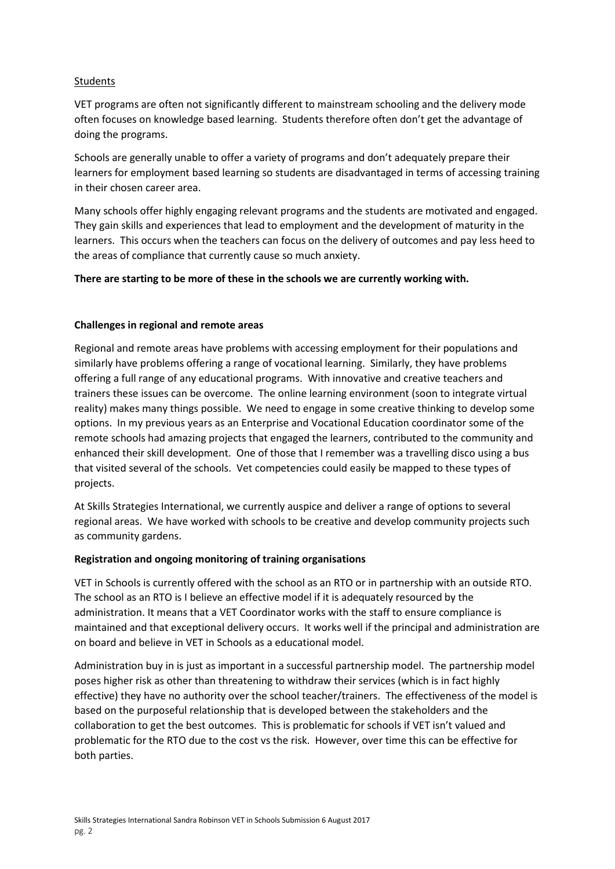## **Students**

VET programs are often not significantly different to mainstream schooling and the delivery mode often focuses on knowledge based learning. Students therefore often don't get the advantage of doing the programs.

Schools are generally unable to offer a variety of programs and don't adequately prepare their learners for employment based learning so students are disadvantaged in terms of accessing training in their chosen career area.

Many schools offer highly engaging relevant programs and the students are motivated and engaged. They gain skills and experiences that lead to employment and the development of maturity in the learners. This occurs when the teachers can focus on the delivery of outcomes and pay less heed to the areas of compliance that currently cause so much anxiety.

## **There are starting to be more of these in the schools we are currently working with.**

## **Challenges in regional and remote areas**

Regional and remote areas have problems with accessing employment for their populations and similarly have problems offering a range of vocational learning. Similarly, they have problems offering a full range of any educational programs. With innovative and creative teachers and trainers these issues can be overcome. The online learning environment (soon to integrate virtual reality) makes many things possible. We need to engage in some creative thinking to develop some options. In my previous years as an Enterprise and Vocational Education coordinator some of the remote schools had amazing projects that engaged the learners, contributed to the community and enhanced their skill development. One of those that I remember was a travelling disco using a bus that visited several of the schools. Vet competencies could easily be mapped to these types of projects.

At Skills Strategies International, we currently auspice and deliver a range of options to several regional areas. We have worked with schools to be creative and develop community projects such as community gardens.

#### **Registration and ongoing monitoring of training organisations**

VET in Schools is currently offered with the school as an RTO or in partnership with an outside RTO. The school as an RTO is I believe an effective model if it is adequately resourced by the administration. It means that a VET Coordinator works with the staff to ensure compliance is maintained and that exceptional delivery occurs. It works well if the principal and administration are on board and believe in VET in Schools as a educational model.

Administration buy in is just as important in a successful partnership model. The partnership model poses higher risk as other than threatening to withdraw their services (which is in fact highly effective) they have no authority over the school teacher/trainers. The effectiveness of the model is based on the purposeful relationship that is developed between the stakeholders and the collaboration to get the best outcomes. This is problematic for schools if VET isn't valued and problematic for the RTO due to the cost vs the risk. However, over time this can be effective for both parties.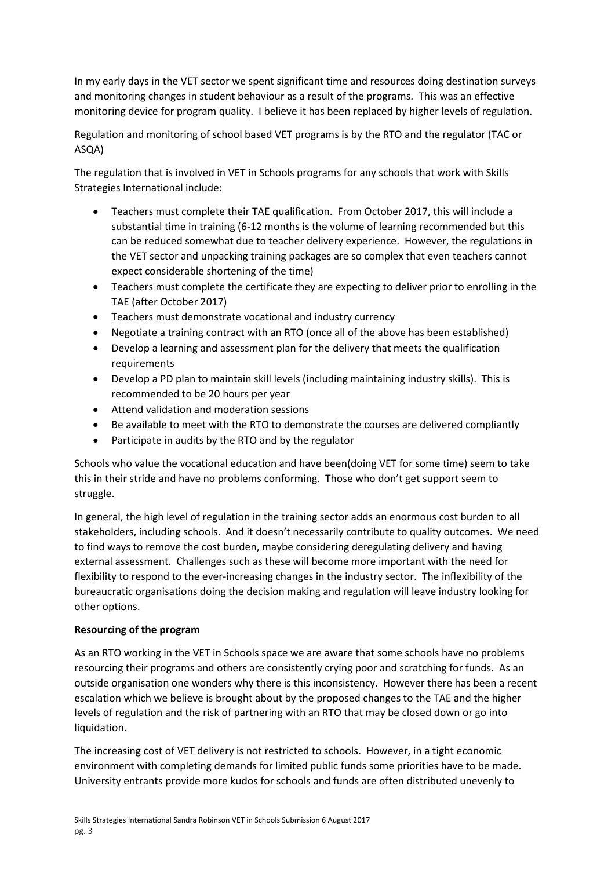In my early days in the VET sector we spent significant time and resources doing destination surveys and monitoring changes in student behaviour as a result of the programs. This was an effective monitoring device for program quality. I believe it has been replaced by higher levels of regulation.

Regulation and monitoring of school based VET programs is by the RTO and the regulator (TAC or ASQA)

The regulation that is involved in VET in Schools programs for any schools that work with Skills Strategies International include:

- Teachers must complete their TAE qualification. From October 2017, this will include a substantial time in training (6-12 months is the volume of learning recommended but this can be reduced somewhat due to teacher delivery experience. However, the regulations in the VET sector and unpacking training packages are so complex that even teachers cannot expect considerable shortening of the time)
- Teachers must complete the certificate they are expecting to deliver prior to enrolling in the TAE (after October 2017)
- Teachers must demonstrate vocational and industry currency
- Negotiate a training contract with an RTO (once all of the above has been established)
- Develop a learning and assessment plan for the delivery that meets the qualification requirements
- Develop a PD plan to maintain skill levels (including maintaining industry skills). This is recommended to be 20 hours per year
- Attend validation and moderation sessions
- Be available to meet with the RTO to demonstrate the courses are delivered compliantly
- Participate in audits by the RTO and by the regulator

Schools who value the vocational education and have been(doing VET for some time) seem to take this in their stride and have no problems conforming. Those who don't get support seem to struggle.

In general, the high level of regulation in the training sector adds an enormous cost burden to all stakeholders, including schools. And it doesn't necessarily contribute to quality outcomes. We need to find ways to remove the cost burden, maybe considering deregulating delivery and having external assessment. Challenges such as these will become more important with the need for flexibility to respond to the ever-increasing changes in the industry sector. The inflexibility of the bureaucratic organisations doing the decision making and regulation will leave industry looking for other options.

## **Resourcing of the program**

As an RTO working in the VET in Schools space we are aware that some schools have no problems resourcing their programs and others are consistently crying poor and scratching for funds. As an outside organisation one wonders why there is this inconsistency. However there has been a recent escalation which we believe is brought about by the proposed changes to the TAE and the higher levels of regulation and the risk of partnering with an RTO that may be closed down or go into liquidation.

The increasing cost of VET delivery is not restricted to schools. However, in a tight economic environment with completing demands for limited public funds some priorities have to be made. University entrants provide more kudos for schools and funds are often distributed unevenly to